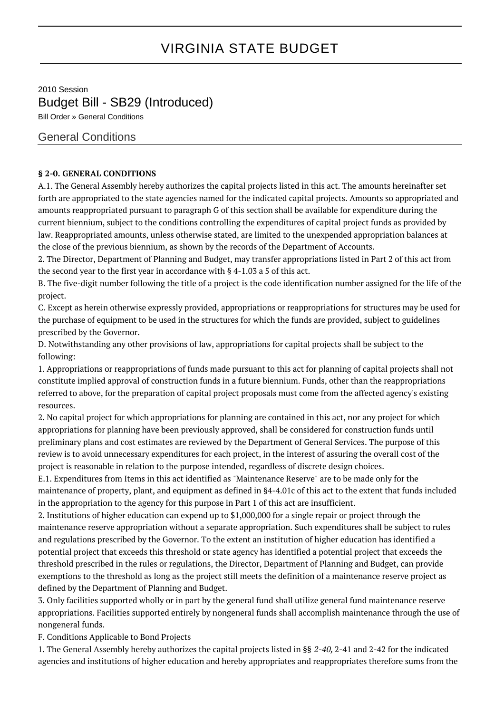## VIRGINIA STATE BUDGET

2010 Session Budget Bill - SB29 (Introduced) Bill Order » General Conditions

General Conditions

## **§ 2-0. GENERAL CONDITIONS**

A.1. The General Assembly hereby authorizes the capital projects listed in this act. The amounts hereinafter set forth are appropriated to the state agencies named for the indicated capital projects. Amounts so appropriated and amounts reappropriated pursuant to paragraph G of this section shall be available for expenditure during the current biennium, subject to the conditions controlling the expenditures of capital project funds as provided by law. Reappropriated amounts, unless otherwise stated, are limited to the unexpended appropriation balances at the close of the previous biennium, as shown by the records of the Department of Accounts.

2. The Director, Department of Planning and Budget, may transfer appropriations listed in Part 2 of this act from the second year to the first year in accordance with § 4-1.03 a 5 of this act.

B. The five-digit number following the title of a project is the code identification number assigned for the life of the project.

C. Except as herein otherwise expressly provided, appropriations or reappropriations for structures may be used for the purchase of equipment to be used in the structures for which the funds are provided, subject to guidelines prescribed by the Governor.

D. Notwithstanding any other provisions of law, appropriations for capital projects shall be subject to the following:

1. Appropriations or reappropriations of funds made pursuant to this act for planning of capital projects shall not constitute implied approval of construction funds in a future biennium. Funds, other than the reappropriations referred to above, for the preparation of capital project proposals must come from the affected agency's existing resources.

2. No capital project for which appropriations for planning are contained in this act, nor any project for which appropriations for planning have been previously approved, shall be considered for construction funds until preliminary plans and cost estimates are reviewed by the Department of General Services. The purpose of this review is to avoid unnecessary expenditures for each project, in the interest of assuring the overall cost of the project is reasonable in relation to the purpose intended, regardless of discrete design choices.

E.1. Expenditures from Items in this act identified as "Maintenance Reserve" are to be made only for the maintenance of property, plant, and equipment as defined in §4-4.01c of this act to the extent that funds included in the appropriation to the agency for this purpose in Part 1 of this act are insufficient.

2. Institutions of higher education can expend up to \$1,000,000 for a single repair or project through the maintenance reserve appropriation without a separate appropriation. Such expenditures shall be subject to rules and regulations prescribed by the Governor. To the extent an institution of higher education has identified a potential project that exceeds this threshold or state agency has identified a potential project that exceeds the threshold prescribed in the rules or regulations, the Director, Department of Planning and Budget, can provide exemptions to the threshold as long as the project still meets the definition of a maintenance reserve project as defined by the Department of Planning and Budget.

3. Only facilities supported wholly or in part by the general fund shall utilize general fund maintenance reserve appropriations. Facilities supported entirely by nongeneral funds shall accomplish maintenance through the use of nongeneral funds.

F. Conditions Applicable to Bond Projects

1. The General Assembly hereby authorizes the capital projects listed in §§ 2-40, 2-41 and 2-42 for the indicated agencies and institutions of higher education and hereby appropriates and reappropriates therefore sums from the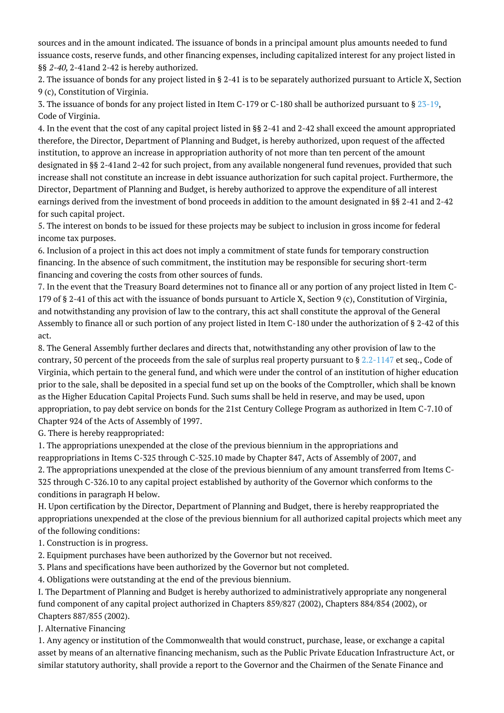sources and in the amount indicated. The issuance of bonds in a principal amount plus amounts needed to fund issuance costs, reserve funds, and other financing expenses, including capitalized interest for any project listed in §§ 2-40, 2-41and 2-42 is hereby authorized.

2. The issuance of bonds for any project listed in § 2-41 is to be separately authorized pursuant to Article X, Section 9 (c), Constitution of Virginia.

3. The issuance of bonds for any project listed in Item C-179 or C-180 shall be authorized pursuant to § [23-19,](http://law.lis.virginia.gov/vacode/23-19/) Code of Virginia.

4. In the event that the cost of any capital project listed in §§ 2-41 and 2-42 shall exceed the amount appropriated therefore, the Director, Department of Planning and Budget, is hereby authorized, upon request of the affected institution, to approve an increase in appropriation authority of not more than ten percent of the amount designated in §§ 2-41and 2-42 for such project, from any available nongeneral fund revenues, provided that such increase shall not constitute an increase in debt issuance authorization for such capital project. Furthermore, the Director, Department of Planning and Budget, is hereby authorized to approve the expenditure of all interest earnings derived from the investment of bond proceeds in addition to the amount designated in §§ 2-41 and 2-42 for such capital project.

5. The interest on bonds to be issued for these projects may be subject to inclusion in gross income for federal income tax purposes.

6. Inclusion of a project in this act does not imply a commitment of state funds for temporary construction financing. In the absence of such commitment, the institution may be responsible for securing short-term financing and covering the costs from other sources of funds.

7. In the event that the Treasury Board determines not to finance all or any portion of any project listed in Item C-179 of § 2-41 of this act with the issuance of bonds pursuant to Article X, Section 9 (c), Constitution of Virginia, and notwithstanding any provision of law to the contrary, this act shall constitute the approval of the General Assembly to finance all or such portion of any project listed in Item C-180 under the authorization of § 2-42 of this act.

8. The General Assembly further declares and directs that, notwithstanding any other provision of law to the contrary, 50 percent of the proceeds from the sale of surplus real property pursuant to § [2.2-1147](http://law.lis.virginia.gov/vacode/2.2-1147/) et seq., Code of Virginia, which pertain to the general fund, and which were under the control of an institution of higher education prior to the sale, shall be deposited in a special fund set up on the books of the Comptroller, which shall be known as the Higher Education Capital Projects Fund. Such sums shall be held in reserve, and may be used, upon appropriation, to pay debt service on bonds for the 21st Century College Program as authorized in Item C-7.10 of Chapter 924 of the Acts of Assembly of 1997.

G. There is hereby reappropriated:

1. The appropriations unexpended at the close of the previous biennium in the appropriations and

reappropriations in Items C-325 through C-325.10 made by Chapter 847, Acts of Assembly of 2007, and 2. The appropriations unexpended at the close of the previous biennium of any amount transferred from Items C-325 through C-326.10 to any capital project established by authority of the Governor which conforms to the conditions in paragraph H below.

H. Upon certification by the Director, Department of Planning and Budget, there is hereby reappropriated the appropriations unexpended at the close of the previous biennium for all authorized capital projects which meet any of the following conditions:

1. Construction is in progress.

2. Equipment purchases have been authorized by the Governor but not received.

3. Plans and specifications have been authorized by the Governor but not completed.

4. Obligations were outstanding at the end of the previous biennium.

I. The Department of Planning and Budget is hereby authorized to administratively appropriate any nongeneral fund component of any capital project authorized in Chapters 859/827 (2002), Chapters 884/854 (2002), or Chapters 887/855 (2002).

J. Alternative Financing

1. Any agency or institution of the Commonwealth that would construct, purchase, lease, or exchange a capital asset by means of an alternative financing mechanism, such as the Public Private Education Infrastructure Act, or similar statutory authority, shall provide a report to the Governor and the Chairmen of the Senate Finance and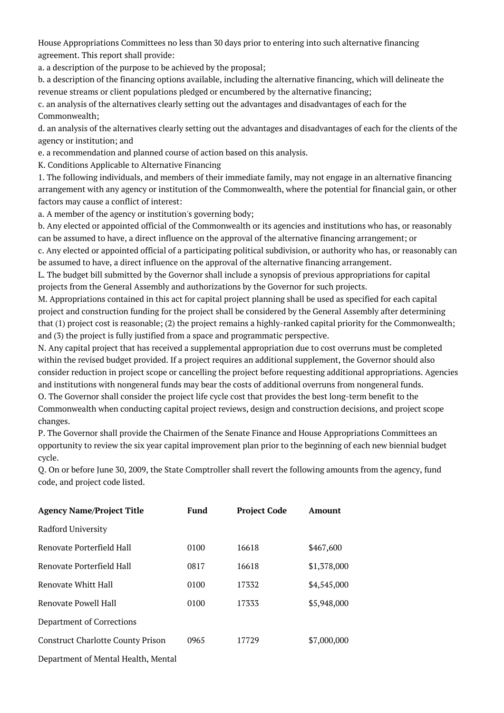House Appropriations Committees no less than 30 days prior to entering into such alternative financing agreement. This report shall provide:

a. a description of the purpose to be achieved by the proposal;

b. a description of the financing options available, including the alternative financing, which will delineate the revenue streams or client populations pledged or encumbered by the alternative financing;

c. an analysis of the alternatives clearly setting out the advantages and disadvantages of each for the Commonwealth;

d. an analysis of the alternatives clearly setting out the advantages and disadvantages of each for the clients of the agency or institution; and

e. a recommendation and planned course of action based on this analysis.

K. Conditions Applicable to Alternative Financing

1. The following individuals, and members of their immediate family, may not engage in an alternative financing arrangement with any agency or institution of the Commonwealth, where the potential for financial gain, or other factors may cause a conflict of interest:

a. A member of the agency or institution's governing body;

b. Any elected or appointed official of the Commonwealth or its agencies and institutions who has, or reasonably can be assumed to have, a direct influence on the approval of the alternative financing arrangement; or c. Any elected or appointed official of a participating political subdivision, or authority who has, or reasonably can be assumed to have, a direct influence on the approval of the alternative financing arrangement.

L. The budget bill submitted by the Governor shall include a synopsis of previous appropriations for capital projects from the General Assembly and authorizations by the Governor for such projects.

M. Appropriations contained in this act for capital project planning shall be used as specified for each capital project and construction funding for the project shall be considered by the General Assembly after determining that (1) project cost is reasonable; (2) the project remains a highly-ranked capital priority for the Commonwealth; and (3) the project is fully justified from a space and programmatic perspective.

N. Any capital project that has received a supplemental appropriation due to cost overruns must be completed within the revised budget provided. If a project requires an additional supplement, the Governor should also consider reduction in project scope or cancelling the project before requesting additional appropriations. Agencies and institutions with nongeneral funds may bear the costs of additional overruns from nongeneral funds.

O. The Governor shall consider the project life cycle cost that provides the best long-term benefit to the Commonwealth when conducting capital project reviews, design and construction decisions, and project scope changes.

P. The Governor shall provide the Chairmen of the Senate Finance and House Appropriations Committees an opportunity to review the six year capital improvement plan prior to the beginning of each new biennial budget cycle.

Q. On or before June 30, 2009, the State Comptroller shall revert the following amounts from the agency, fund code, and project code listed.

| <b>Agency Name/Project Title</b>         | Fund | <b>Project Code</b> | Amount      |
|------------------------------------------|------|---------------------|-------------|
| Radford University                       |      |                     |             |
| Renovate Porterfield Hall                | 0100 | 16618               | \$467,600   |
| Renovate Porterfield Hall                | 0817 | 16618               | \$1,378,000 |
| Renovate Whitt Hall                      | 0100 | 17332               | \$4,545,000 |
| Renovate Powell Hall                     | 0100 | 17333               | \$5,948,000 |
| Department of Corrections                |      |                     |             |
| <b>Construct Charlotte County Prison</b> | 0965 | 17729               | \$7,000,000 |
| Department of Mental Health, Mental      |      |                     |             |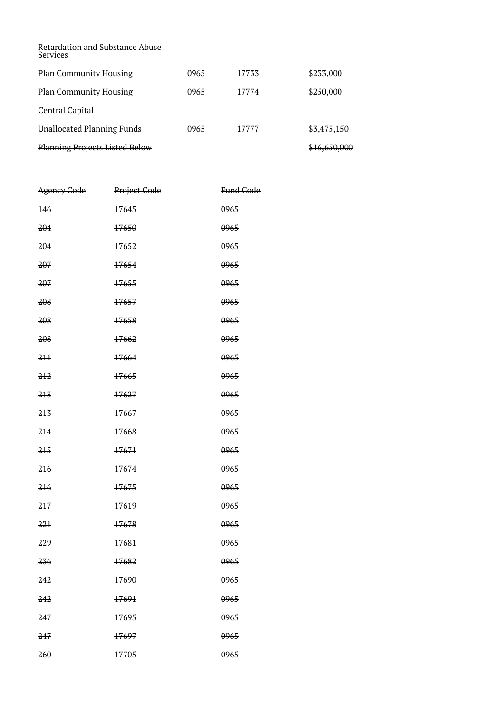Retardation and Substance Abuse Services Plan Community Housing 0965 17733 \$233,000 Plan Community Housing 0965 17774 \$250,000 Central Capital Unallocated Planning Funds 0965 17777 \$3,475,150

Planning Projects Listed Below \$16,650,000

| Agency Code    | Project Gode | Fund Code |
|----------------|--------------|-----------|
| <del>146</del> | 17645        | 0965      |
| 204            | 17650        | 0965      |
| 204            | 17652        | 0965      |
| 207            | 17654        | 0965      |
| 207            | 17655        | 0965      |
| 208            | 17657        | 0965      |
| 208            | 17658        | 0965      |
| 208            | 17662        | 0965      |
| 211            | 17664        | 0965      |
| 212            | 17665        | 0965      |
| 213            | 17627        | 0965      |
| 213            | 17667        | 0965      |
| 214            | 17668        | 0965      |
| 215            | 17671        | 0965      |
| 216            | 17674        | 0965      |
| 216            | 17675        | 0965      |
| 217            | 17619        | 0965      |
| 221            | 17678        | 0965      |
| 229            | 17681        | 0965      |
| 236            | 17682        | 0965      |
| 242            | 17690        | 0965      |
| 242            | 17691        | 0965      |
| 247            | 17695        | 0965      |
| 247            | 17697        | 0965      |
| 260            | 17705        | 0965      |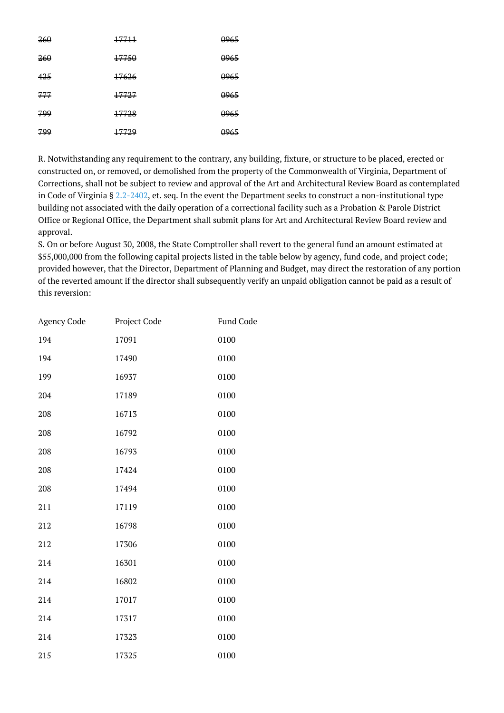| 260 | 17711            | <del>0965</del> |
|-----|------------------|-----------------|
| 260 | 17750            | <del>0965</del> |
| 425 | <del>17626</del> | <del>0965</del> |
| 777 | 17727            | <del>0965</del> |
| 799 | 17728            | <del>0965</del> |
| 799 | 17729            | <del>0965</del> |

R. Notwithstanding any requirement to the contrary, any building, fixture, or structure to be placed, erected or constructed on, or removed, or demolished from the property of the Commonwealth of Virginia, Department of Corrections, shall not be subject to review and approval of the Art and Architectural Review Board as contemplated in Code of Virginia §  $2.2-2402$ , et. seq. In the event the Department seeks to construct a non-institutional type building not associated with the daily operation of a correctional facility such as a Probation & Parole District Office or Regional Office, the Department shall submit plans for Art and Architectural Review Board review and approval.

S. On or before August 30, 2008, the State Comptroller shall revert to the general fund an amount estimated at \$55,000,000 from the following capital projects listed in the table below by agency, fund code, and project code; provided however, that the Director, Department of Planning and Budget, may direct the restoration of any portion of the reverted amount if the director shall subsequently verify an unpaid obligation cannot be paid as a result of this reversion:

| Agency Code | Project Code | <b>Fund Code</b> |
|-------------|--------------|------------------|
| 194         | 17091        | 0100             |
| 194         | 17490        | 0100             |
| 199         | 16937        | 0100             |
| 204         | 17189        | 0100             |
| 208         | 16713        | 0100             |
| 208         | 16792        | 0100             |
| 208         | 16793        | 0100             |
| 208         | 17424        | 0100             |
| 208         | 17494        | 0100             |
| 211         | 17119        | 0100             |
| 212         | 16798        | 0100             |
| 212         | 17306        | 0100             |
| 214         | 16301        | 0100             |
| 214         | 16802        | 0100             |
| 214         | 17017        | 0100             |
| 214         | 17317        | 0100             |
| 214         | 17323        | 0100             |
| 215         | 17325        | 0100             |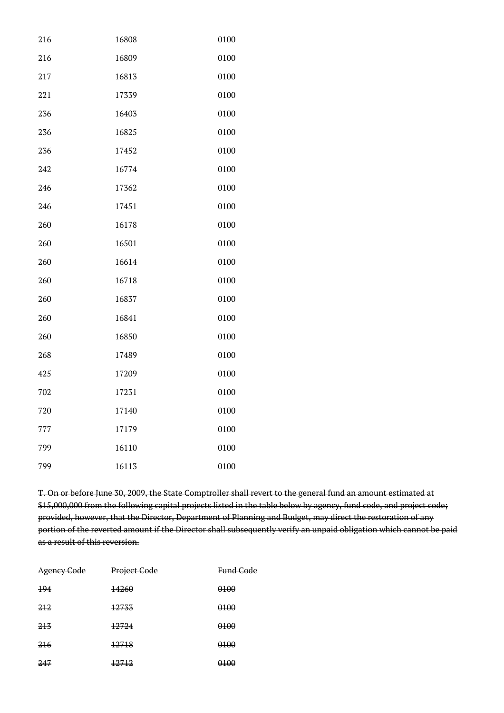| 216 | 16808 | 0100 |
|-----|-------|------|
| 216 | 16809 | 0100 |
| 217 | 16813 | 0100 |
| 221 | 17339 | 0100 |
| 236 | 16403 | 0100 |
| 236 | 16825 | 0100 |
| 236 | 17452 | 0100 |
| 242 | 16774 | 0100 |
| 246 | 17362 | 0100 |
| 246 | 17451 | 0100 |
| 260 | 16178 | 0100 |
| 260 | 16501 | 0100 |
| 260 | 16614 | 0100 |
| 260 | 16718 | 0100 |
| 260 | 16837 | 0100 |
| 260 | 16841 | 0100 |
| 260 | 16850 | 0100 |
| 268 | 17489 | 0100 |
| 425 | 17209 | 0100 |
| 702 | 17231 | 0100 |
| 720 | 17140 | 0100 |
| 777 | 17179 | 0100 |
| 799 | 16110 | 0100 |
| 799 | 16113 | 0100 |

T. On or before June 30, 2009, the State Comptroller shall revert to the general fund an amount estimated at \$15,000,000 from the following capital projects listed in the table below by agency, fund code, and project code; provided, however, that the Director, Department of Planning and Budget, may direct the restoration of any portion of the reverted amount if the Director shall subsequently verify an unpaid obligation which cannot be paid as a result of this reversion.

| <b>Agency Code</b> | Project Code | <del>Fund Code</del> |
|--------------------|--------------|----------------------|
| 494                | 14260        | 0100                 |
| 212                | 12733        | <del>0100</del>      |
| 213                | 12724        | <del>0100</del>      |
| 216                | 12718        | 0100                 |
| 247                | 12712        | <del>0100</del>      |